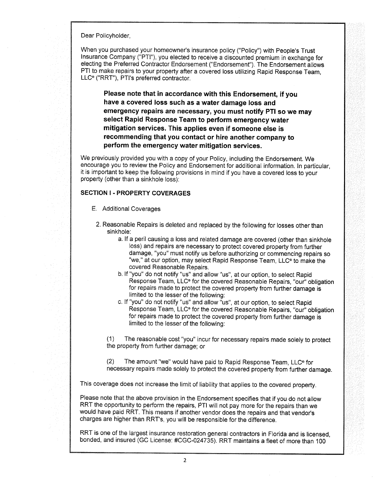Dear Policyholder,

When you purchased your homeowner's insurance policy ("Policy") with People's Trust lnsurance Company ("PTI"), you elected to receive a discounted premium in exchange for electing the Preferred Contractor Endorsement ("Endorsement"). The Endorsement allows PTI to make repairs to your property after a covered loss utilizing Rapid Response Team, LLC<sup>®</sup> ("RRT"), PTI's preferred contractor.

Please note that in accordance with this Endorsement, if you have a covered loss such as a water damage loss and emergency repairs are necessary, you must notify PTI so we may select Rapid Response Team to perform emergency water mitigation services. This applies even if someone else is recommending that you contact or hire another company to perform the emergency water mitigation services.

We previously provided you with a copy of your Policy, including the Endorsement. We encourage you to review the Policy and Endorsement for additional information. ln particular, it is important to keep the following provisions in mind if you have a covered loss to your property (other than a sinkhole loss):

## SECTION I . PROPERTY COVERAGES

- E. Additional Coverages
	- 2. Reasonable Repairs is deleted and replaced by the following for losses other than sinkhole:
		- a. lf a peril causing a loss and related damage are covered (other than sinkhole loss) and repairs are necessary to protect covered property from further damage, "you" must notify us before authorizing or commencing repairs so "we," at our option, may select Rapid Response Team, LLC<sup>®</sup> to make the covered Reasonable Repairs.
		- b. lf "you" do not notify "us" and allow "us", at our option, to select Rapid Response Team, LLC® for the covered Reasonable Repairs, "our" obligation for repairs made to protect the covered property from further damage is limited to the lesser of the following:
		- c. If "you" do not notify "us" and allow "us", at our option, to select Rapid Response Team, LLC® for the covered Reasonable Repairs, "our" obligation. for repairs made to protect the covered property from further damage is limited to the lesser of the following:

(1) The reasonable cost "you" incur for necessary repairs made solely to protect the property from further damage; or

(2) The amount "we" would have paid to Rapid Response Team, LLC@ for necessary repairs made solely to protect the covered property from further damage

This coverage does not increase the limit of liability that applies to the covered property.

Please note that the above provision in the Endorsement specifies that if you do not allow RRT the opportunity to perform the repairs, PTI will not pay more for the repairs than we would have paid RRT. This means if another vendor does the repairs and that vendor's charges are higher than RRT's, you will be responsible for the difference.

RRT is one of the largest insurance restoration general contractors in Florida and is licensed, bonded, and insured (GC License: #CGC-024735). RRT maintains a fleet of more than 100